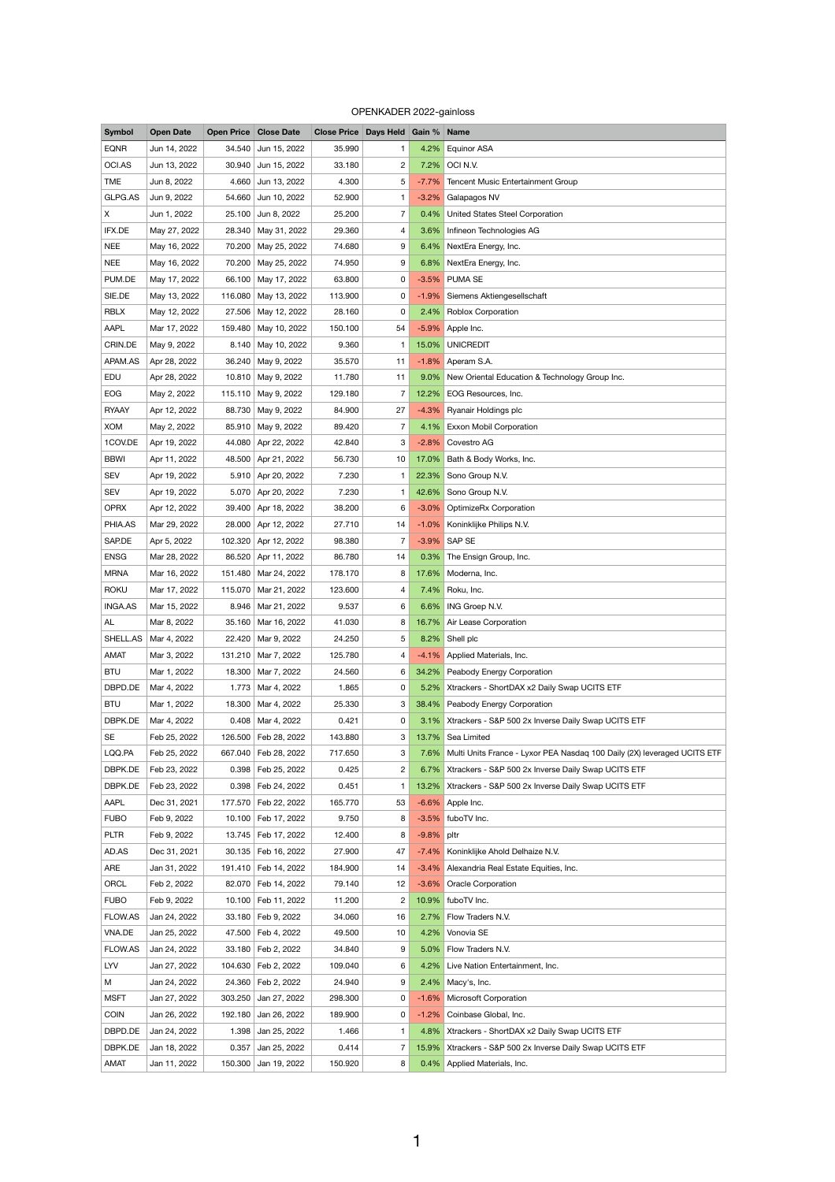## OPENKADER 2022-gainloss

| <b>Symbol</b>  | <b>Open Date</b> |         | <b>Open Price Close Date</b> | <b>Close Price Days Held Gain % Name</b> |                |            |                                                                               |
|----------------|------------------|---------|------------------------------|------------------------------------------|----------------|------------|-------------------------------------------------------------------------------|
| <b>EQNR</b>    | Jun 14, 2022     | 34.540  | Jun 15, 2022                 | 35.990                                   | 1.             | 4.2%       | <b>Equinor ASA</b>                                                            |
| OCI.AS         | Jun 13, 2022     | 30.940  | Jun 15, 2022                 | 33.180                                   | $\overline{c}$ |            | 7.2% OCI N.V.                                                                 |
| <b>TME</b>     | Jun 8, 2022      | 4.660   | Jun 13, 2022                 | 4.300                                    | 5              | $-7.7\%$   | Tencent Music Entertainment Group                                             |
| GLPG.AS        | Jun 9, 2022      | 54.660  | Jun 10, 2022                 | 52.900                                   | 1.             | $-3.2\%$   | Galapagos NV                                                                  |
| X              | Jun 1, 2022      | 25.100  | Jun 8, 2022                  | 25.200                                   | $\overline{7}$ | $0.4\%$    | <b>United States Steel Corporation</b>                                        |
| IFX.DE         | May 27, 2022     | 28.340  | May 31, 2022                 | 29.360                                   | 4              |            | 3.6% Infineon Technologies AG                                                 |
| <b>NEE</b>     | May 16, 2022     | 70.200  | May 25, 2022                 | 74.680                                   | 9              |            | 6.4% NextEra Energy, Inc.                                                     |
| <b>NEE</b>     | May 16, 2022     |         | 70.200 May 25, 2022          | 74.950                                   | 9              |            | 6.8% NextEra Energy, Inc.                                                     |
| PUM.DE         | May 17, 2022     | 66.100  | May 17, 2022                 | 63.800                                   | 0              |            | -3.5% PUMA SE                                                                 |
| SIE.DE         | May 13, 2022     | 116.080 | May 13, 2022                 | 113.900                                  | 0              |            | -1.9% Siemens Aktiengesellschaft                                              |
| <b>RBLX</b>    | May 12, 2022     |         | 27.506   May 12, 2022        | 28.160                                   | 0              |            | 2.4% Roblox Corporation                                                       |
| AAPL           | Mar 17, 2022     | 159.480 | May 10, 2022                 | 150.100                                  | 54             |            | -5.9% Apple Inc.                                                              |
| CRIN.DE        | May 9, 2022      | 8.140   | May 10, 2022                 | 9.360                                    | $\mathbf{1}$   | 15.0%      | <b>UNICREDIT</b>                                                              |
| APAM.AS        | Apr 28, 2022     |         | 36.240 May 9, 2022           | 35.570                                   | 11             |            | $-1.8\%$ Aperam S.A.                                                          |
| EDU            | Apr 28, 2022     |         | 10.810   May 9, 2022         | 11.780                                   | 11             |            | 9.0% New Oriental Education & Technology Group Inc.                           |
| <b>EOG</b>     | May 2, 2022      |         | 115.110 May 9, 2022          | 129.180                                  | $\overline{7}$ |            | 12.2% EOG Resources, Inc.                                                     |
| <b>RYAAY</b>   | Apr 12, 2022     | 88.730  | May 9, 2022                  | 84.900                                   | 27             |            | -4.3% Ryanair Holdings plc                                                    |
| <b>XOM</b>     |                  |         |                              |                                          | 7              |            |                                                                               |
|                | May 2, 2022      | 85.910  | May 9, 2022                  | 89.420                                   |                | $4.1\%$    | <b>Exxon Mobil Corporation</b>                                                |
| 1COV.DE        | Apr 19, 2022     | 44.080  | Apr 22, 2022                 | 42.840                                   | 3              |            | -2.8% Covestro AG                                                             |
| <b>BBWI</b>    | Apr 11, 2022     |         | 48.500 Apr 21, 2022          | 56.730                                   | 10             | 17.0%      | Bath & Body Works, Inc.                                                       |
| <b>SEV</b>     | Apr 19, 2022     |         | 5.910 Apr 20, 2022           | 7.230                                    |                |            | 22.3% Sono Group N.V.                                                         |
| <b>SEV</b>     | Apr 19, 2022     |         | 5.070 Apr 20, 2022           | 7.230                                    | 1.             |            | 42.6% Sono Group N.V.                                                         |
| <b>OPRX</b>    | Apr 12, 2022     |         | 39.400 Apr 18, 2022          | 38.200                                   | 6              | $-3.0\%$   | OptimizeRx Corporation                                                        |
| PHIA.AS        | Mar 29, 2022     | 28.000  | Apr 12, 2022                 | 27.710                                   | 14             | $-1.0\%$   | Koninklijke Philips N.V.                                                      |
| SAP.DE         | Apr 5, 2022      | 102.320 | Apr 12, 2022                 | 98.380                                   | 7              |            | -3.9% SAP SE                                                                  |
| <b>ENSG</b>    | Mar 28, 2022     |         | 86.520 Apr 11, 2022          | 86.780                                   | 14             |            | 0.3% The Ensign Group, Inc.                                                   |
| <b>MRNA</b>    | Mar 16, 2022     |         | 151.480   Mar 24, 2022       | 178.170                                  | 8              |            | 17.6% Moderna, Inc.                                                           |
| <b>ROKU</b>    | Mar 17, 2022     |         | 115.070   Mar 21, 2022       | 123.600                                  | 4              |            | 7.4% Roku, Inc.                                                               |
| <b>INGA.AS</b> | Mar 15, 2022     |         | 8.946   Mar 21, 2022         | 9.537                                    | 6              |            | 6.6% ING Groep N.V.                                                           |
| AL             | Mar 8, 2022      |         | 35.160 Mar 16, 2022          | 41.030                                   | 8              |            | 16.7% Air Lease Corporation                                                   |
| SHELL.AS       | Mar 4, 2022      |         | 22.420   Mar 9, 2022         | 24.250                                   | 5              |            | 8.2% Shell plc                                                                |
| AMAT           | Mar 3, 2022      |         | 131.210 Mar 7, 2022          | 125.780                                  | 4              |            | -4.1% Applied Materials, Inc.                                                 |
| <b>BTU</b>     | Mar 1, 2022      |         | 18.300   Mar 7, 2022         | 24.560                                   | 6              |            | 34.2% Peabody Energy Corporation                                              |
| DBPD.DE        | Mar 4, 2022      |         | 1.773   Mar 4, 2022          | 1.865                                    | 0              |            | 5.2% Xtrackers - ShortDAX x2 Daily Swap UCITS ETF                             |
| <b>BTU</b>     | Mar 1, 2022      |         | 18.300   Mar 4, 2022         | 25.330                                   | 3              | 38.4%      | Peabody Energy Corporation                                                    |
| DBPK.DE        | Mar 4, 2022      |         | $0.408$ Mar 4, 2022          | 0.421                                    | 0              |            | 3.1% Xtrackers - S&P 500 2x Inverse Daily Swap UCITS ETF                      |
| <b>SE</b>      | Feb 25, 2022     |         | 126.500   Feb 28, 2022       | 143.880                                  | 3              |            | 13.7% Sea Limited                                                             |
| LQQ.PA         | Feb 25, 2022     |         | 667.040   Feb 28, 2022       | 717.650                                  | 3              |            | 7.6% Multi Units France - Lyxor PEA Nasdag 100 Daily (2X) leveraged UCITS ETF |
| DBPK.DE        | Feb 23, 2022     |         | 0.398   Feb 25, 2022         | 0.425                                    | $\overline{c}$ |            | 6.7% Xtrackers - S&P 500 2x Inverse Daily Swap UCITS ETF                      |
| DBPK.DE        | Feb 23, 2022     |         | 0.398   Feb 24, 2022         | 0.451                                    |                |            | 13.2% Xtrackers - S&P 500 2x Inverse Daily Swap UCITS ETF                     |
| AAPL           | Dec 31, 2021     |         | 177.570 Feb 22, 2022         | 165.770                                  | 53             |            | $-6.6\%$ Apple Inc.                                                           |
| <b>FUBO</b>    | Feb 9, 2022      |         | 10.100   Feb 17, 2022        | 9.750                                    | 8              |            | -3.5% fuboTV Inc.                                                             |
| <b>PLTR</b>    | Feb 9, 2022      |         | 13.745   Feb 17, 2022        | 12.400                                   | 8              | -9.8% pltr |                                                                               |
| AD.AS          | Dec 31, 2021     |         | 30.135   Feb 16, 2022        | 27.900                                   | 47             |            | -7.4% Koninklijke Ahold Delhaize N.V.                                         |
| ARE            | Jan 31, 2022     |         | 191.410   Feb 14, 2022       | 184.900                                  | 14             |            | -3.4% Alexandria Real Estate Equities, Inc.                                   |
| ORCL           | Feb 2, 2022      |         | 82.070   Feb 14, 2022        | 79.140                                   | 12             |            | -3.6% Oracle Corporation                                                      |
| <b>FUBO</b>    | Feb 9, 2022      |         | 10.100   Feb 11, 2022        | 11.200                                   | 2              |            | 10.9% fuboTV Inc.                                                             |
| FLOW.AS        | Jan 24, 2022     |         | 33.180   Feb 9, 2022         | 34.060                                   | 16             |            | 2.7% Flow Traders N.V.                                                        |
| VNA.DE         | Jan 25, 2022     |         | 47.500   Feb 4, 2022         | 49.500                                   | 10             |            | 4.2% Vonovia SE                                                               |
| FLOW.AS        |                  |         |                              |                                          |                |            | 5.0% Flow Traders N.V.                                                        |
|                | Jan 24, 2022     |         | 33.180   Feb 2, 2022         | 34.840                                   | 9              |            |                                                                               |
| LYV            | Jan 27, 2022     |         | 104.630 Feb 2, 2022          | 109.040                                  | 6              |            | 4.2% Live Nation Entertainment, Inc.                                          |
| M              | Jan 24, 2022     |         | 24.360   Feb 2, 2022         | 24.940                                   | 9              |            | 2.4% Macy's, Inc.                                                             |
| <b>MSFT</b>    | Jan 27, 2022     | 303.250 | Jan 27, 2022                 | 298.300                                  | 0              |            | -1.6% Microsoft Corporation                                                   |
| <b>COIN</b>    | Jan 26, 2022     | 192.180 | Jan 26, 2022                 | 189.900                                  | 0              |            | -1.2% Coinbase Global, Inc.                                                   |
| DBPD.DE        | Jan 24, 2022     | 1.398   | Jan 25, 2022                 | 1.466                                    | 1.             |            | 4.8% Xtrackers - ShortDAX x2 Daily Swap UCITS ETF                             |
| DBPK.DE        | Jan 18, 2022     | 0.357   | Jan 25, 2022                 | 0.414                                    | 7              |            | 15.9% Xtrackers - S&P 500 2x Inverse Daily Swap UCITS ETF                     |
| AMAT           | Jan 11, 2022     | 150.300 | Jan 19, 2022                 | 150.920                                  | 8              |            | 0.4% Applied Materials, Inc.                                                  |